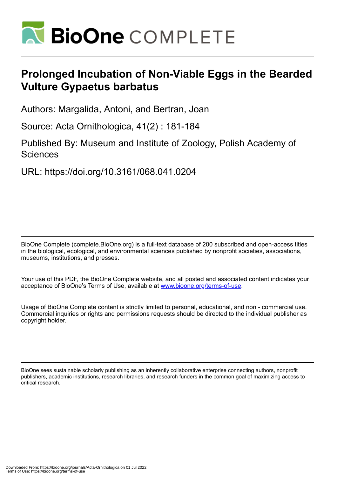

# **Prolonged Incubation of Non-Viable Eggs in the Bearded Vulture Gypaetus barbatus**

Authors: Margalida, Antoni, and Bertran, Joan

Source: Acta Ornithologica, 41(2) : 181-184

Published By: Museum and Institute of Zoology, Polish Academy of **Sciences** 

URL: https://doi.org/10.3161/068.041.0204

BioOne Complete (complete.BioOne.org) is a full-text database of 200 subscribed and open-access titles in the biological, ecological, and environmental sciences published by nonprofit societies, associations, museums, institutions, and presses.

Your use of this PDF, the BioOne Complete website, and all posted and associated content indicates your acceptance of BioOne's Terms of Use, available at www.bioone.org/terms-of-use.

Usage of BioOne Complete content is strictly limited to personal, educational, and non - commercial use. Commercial inquiries or rights and permissions requests should be directed to the individual publisher as copyright holder.

BioOne sees sustainable scholarly publishing as an inherently collaborative enterprise connecting authors, nonprofit publishers, academic institutions, research libraries, and research funders in the common goal of maximizing access to critical research.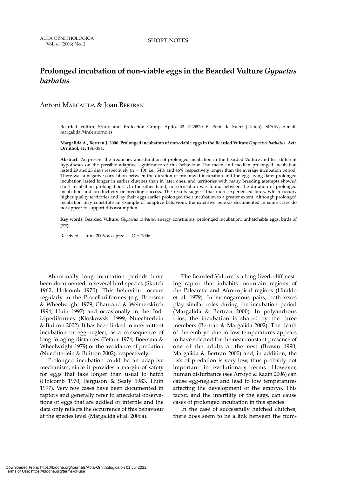# **Prolonged incubation of non-viable eggs in the Bearded Vulture** *Gypaetus barbatus*

# Antoni MARGALIDA & Joan BERTRAN

Bearded Vulture Study and Protection Group. Apdo. 43 E-25520 El Pont de Suert (Lleida), SPAIN, e-mail: margalida@inf.entorno.es

#### **Margalida A., Bertran J. 2006. Prolonged incubation of non-viable eggs in the Bearded Vulture** *Gypaetus barbatus.* **Acta Ornithol. 41: 181–184.**

**Abstract.** We present the frequency and duration of prolonged incubation in the Bearded Vulture and test different hypotheses on the possible adaptive significance of this behaviour. The mean and median prolonged incubation lasted 29 and 25 days respectively ( $n = 10$ ), i.e., 54% and 46% respectively longer than the average incubation period. There was a negative correlation between the duration of prolonged incubation and the egg-laying date: prolonged incubation lasted longer in earlier clutches than in later ones, and territories with many breeding attempts showed short incubation prolongations. On the other hand, no correlation was found between the duration of prolonged incubation and productivity or breeding success. The results suggest that more experienced birds, which occupy higher quality territories and lay their eggs earlier, prolonged their incubation to a greater extent. Although prolonged incubation may constitute an example of adaptive behaviour, the extensive periods documented in some cases do not appear to support this assumption.

**Key words:** Bearded Vulture, *Gypaetus barbatus*, energy constraints, prolonged incubation, unhatchable eggs, birds of prey

Received — June 2006, accepted — Oct. 2006

Abnormally long incubation periods have been documented in several bird species (Skutch 1962, Holcomb 1970). This behaviour occurs regularly in the Procellariiformes (e.g. Boersma & Wheelwright 1979, Chaurand & Weimerskirch 1994, Huin 1997) and occasionally in the Podicipediformes (Kloskowski 1999, Nuechterlein & Buitron 2002). It has been linked to intermittent incubation or egg-neglect, as a consequence of long foraging distances (Pefaur 1974, Boersma & Wheelwright 1979) or the avoidance of predation (Nuechterlein & Buitron 2002), respectively.

Prolonged incubation could be an adaptive mechanism, since it provides a margin of safety for eggs that take longer than usual to hatch (Holcomb 1970, Ferguson & Sealy 1983, Huin 1997). Very few cases have been documented in raptors and generally refer to anecdotal observations of eggs that are addled or infertile and the data only reflects the occurrence of this behaviour at the species level (Margalida et al. 2006a).

The Bearded Vulture is a long-lived, cliff-nesting raptor that inhabits mountain regions of the Palearctic and Afrotropical regions (Hiraldo et al. 1979). In monogamous pairs, both sexes play similar roles during the incubation period (Margalida & Bertran 2000). In polyandrous trios, the incubation is shared by the three members (Bertran & Margalida 2002). The death of the embryo due to low temperatures appears to have selected for the near constant presence of one of the adults at the nest (Brown 1990, Margalida & Bertran 2000) and, in addition, the risk of predation is very low, thus probably not important in evolutionary terms. However, human disturbance (see Arroyo & Razin 2006) can cause egg-neglect and lead to low temperatures affecting the development of the embryo. This factor, and the infertility of the eggs, can cause cases of prolonged incubation in this species.

In the case of successfully hatched clutches, there does seem to be a link between the num-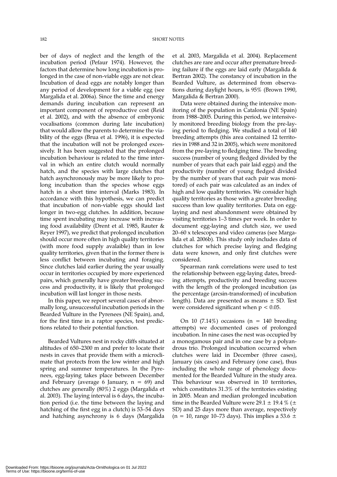ber of days of neglect and the length of the incubation period (Pefaur 1974). However, the factors that determine how long incubation is prolonged in the case of non-viable eggs are not clear. Incubation of dead eggs are notably longer than any period of development for a viable egg (see Margalida et al. 2006a). Since the time and energy demands during incubation can represent an important component of reproductive cost (Reid et al. 2002), and with the absence of embryonic vocalisations (common during late incubation) that would allow the parents to determine the viability of the eggs (Brua et al. 1996), it is expected that the incubation will not be prolonged excessively. It has been suggested that the prolonged incubation behaviour is related to the time interval in which an entire clutch would normally hatch, and the species with large clutches that hatch asynchronously may be more likely to prolong incubation than the species whose eggs hatch in a short time interval (Marks 1983). In accordance with this hypothesis, we can predict that incubation of non-viable eggs should last longer in two-egg clutches. In addition, because time spent incubating may increase with increasing food availability (Drent et al. 1985, Rauter & Reyer 1997), we predict that prolonged incubation should occur more often in high quality territories (with more food supply avalaible) than in low quality territories, given that in the former there is less conflict between incubating and foraging. Since clutches laid earlier during the year usually occur in territories occupied by more experienced pairs, which generally have greater breeding success and productivity, it is likely that prolonged incubation will last longer in those nests.

In this paper, we report several cases of abnormally long, unsuccessful incubation periods in the Bearded Vulture in the Pyrenees (NE Spain), and, for the first time in a raptor species, test predictions related to their potential function.

Bearded Vultures nest in rocky cliffs situated at altitudes of 650–2300 m and prefer to locate their nests in caves that provide them with a microclimate that protects from the low winter and high spring and summer temperatures. In the Pyrenees, egg-laying takes place between December and February (average 6 January,  $n = 69$ ) and clutches are generally (80%) 2 eggs (Margalida et al. 2003). The laying interval is 6 days, the incubation period (i.e. the time between the laying and hatching of the first egg in a clutch) is 53–54 days and hatching asynchrony is 6 days (Margalida et al. 2003, Margalida et al. 2004). Replacement clutches are rare and occur after premature breeding failure if the eggs are laid early (Margalida & Bertran 2002). The constancy of incubation in the Bearded Vulture, as determined from observations during daylight hours, is 95% (Brown 1990, Margalida & Bertran 2000).

Data were obtained during the intensive monitoring of the population in Catalonia (NE Spain) from 1988–2005. During this period, we intensively monitored breeding biology from the pre-laying period to fledging. We studied a total of 140 breeding attempts (this area contained 12 territories in 1988 and 32 in 2005), which were monitored from the pre-laying to fledging time. The breeding success (number of young fledged divided by the number of years that each pair laid eggs) and the productivity (number of young fledged divided by the number of years that each pair was monitored) of each pair was calculated as an index of high and low quality territories. We consider high quality territories as those with a greater breeding success than low quality territories. Data on egglaying and nest abandonment were obtained by visiting territories 1–3 times per week. In order to document egg-laying and clutch size, we used 20–60 x telescopes and video cameras (see Margalida et al. 2006b). This study only includes data of clutches for which precise laying and fledging data were known, and only first clutches were considered.

Spearman rank correlations were used to test the relationship between egg-laying dates, breeding attempts, productivity and breeding success with the length of the prolonged incubation (as the percentage (arcsin-transformed) of incubation length). Data are presented as means  $\pm$  SD. Test were considered significant when  $p < 0.05$ .

On 10 (7.14%) occasions (n = 140 breeding attempts) we documented cases of prolonged incubation. In nine cases the nest was occupied by a monogamous pair and in one case by a polyandrous trio. Prolonged incubation occurred when clutches were laid in December (three cases), January (six cases) and February (one case), thus including the whole range of phenology documented for the Bearded Vulture in the study area. This behaviour was observed in 10 territories, which constitutes 31.3% of the territories existing in 2005. Mean and median prolonged incubation time in the Bearded Vulture were 29.1  $\pm$  19.4 % ( $\pm$ SD) and 25 days more than average, respectively (n = 10, range 10–73 days). This implies a 53.6  $\pm$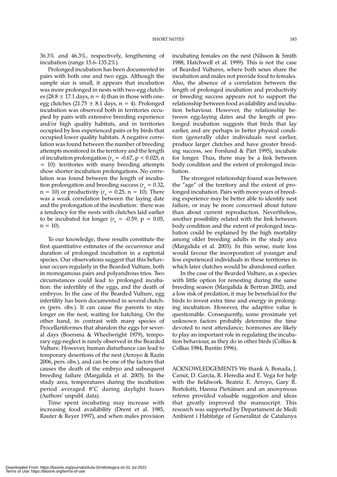36.3% and 46.3%, respectively, lengthening of incubation (range 15.6–135.2%).

Prolonged incubation has been documented in pairs with both one and two eggs. Although the sample size is small, it appears that incubation was more prolonged in nests with two-egg clutches (28.8  $\pm$  17.1 days, n = 4) than in those with oneegg clutches (21.75  $\pm$  8.1 days, n = 4). Prolonged incubation was observed both in territories occupied by pairs with extensive breeding experience and/or high quality habitats, and in territories occupied by less experienced pairs or by birds that occupied lower quality habitats. A negative correlation was found between the number of breeding attempts monitored in the territory and the length of incubation prolongation ( $r<sub>s</sub> = -0.67$ , p < 0.025, n = 10): territories with many breeding attempts show shorter incubation prolongations. No correlation was found between the length of incubation prolongation and breeding success ( $r<sub>s</sub> = 0.32$ ,  $n = 10$ ) or productivity ( $r_s = 0.25$ ,  $n = 10$ ). There was a weak correlation between the laying date and the prolongation of the incubation: there was a tendency for the nests with clutches laid earlier to be incubated for longer  $(r<sub>s</sub> = -0.59, p = 0.05,$  $n = 10$ ).

To our knowledge, these results constitute the first quantitative estimates of the occurrence and duration of prolonged incubation in a raptorial species. Our observations suggest that this behaviour occurs regularly in the Bearded Vulture, both in monogamous pairs and polyandrous trios. Two circumstances could lead to prolonged incubation: the infertility of the eggs, and the death of embryos. In the case of the Bearded Vulture, egg infertility has been documented in several clutches (pers. obs.). It can cause the parents to stay longer on the nest, waiting for hatching. On the other hand, in contrast with many species of Procellariiformes that abandon the eggs for several days (Boersma & Wheelwright 1979), temporary egg-neglect is rarely observed in the Bearded Vulture. However, human disturbance can lead to temporary desertions of the nest (Arroyo & Razin 2006, pers. obs.), and can be one of the factors that causes the death of the embryo and subsequent breeding failure (Margalida et al. 2003). In the study area, temperatures during the incubation period averaged 8°C during daylight hours (Authors' unpubl. data).

Time spent incubating may increase with increasing food availability (Drent et al. 1985, Rauter & Reyer 1997), and when males provision

incubating females on the nest (Nilsson & Smith 1988, Hatchwell et al. 1999). This is not the case of Bearded Vultures, where both sexes share the incubation and males not provide food to females. Also, the absence of a correlation between the length of prolonged incubation and productivity or breeding success appears not to support the relationship between food availability and incubation behaviour. However, the relationship between egg-laying dates and the length of prolonged incubation suggests that birds that lay earlier, and are perhaps in better physical condition (generally older individuals nest earlier, produce larger clutches and have greater breeding success, see Forslund & Pärt 1995), incubate for longer. Thus, there may be a link between body condition and the extent of prolonged incubation.

The strongest relationship found was between the "age" of the territory and the extent of prolonged incubation. Pairs with more years of breeding experience may be better able to identify nest failure, or may be more concerned about future than about current reproduction. Nevertheless, another possibility related with the link between body condition and the extent of prolonged incubation could be explained by the high mortality among older breeding adults in the study area (Margalida et al. 2003). In this sense, mate loss would favour the incorporation of younger and less experienced individuals in these territories in which later clutches would be abandoned earlier.

In the case of the Bearded Vulture, as a species with little option for renesting during the same breeding season (Margalida & Bertran 2002), and a low risk of predation, it may be beneficial for the birds to invest extra time and energy in prolonging incubation. However, the adaptive value is questionable. Consequently, some proximate yet unknown factors probably determine the time devoted to nest attendance; hormones are likely to play an important role in regulating the incubation behaviour, as they do in other birds (Collias  $&$ Collias 1984, Buntin 1996).

ACKNOWLEDGEMENTS We thank A. Bonada, J. Canut, D. García, R. Heredia and E. Vega for help with the fieldwork. Beatriz E. Arroyo, Gary R. Bortolotti, Hannu Pietiäinen and an anonymous referee provided valuable suggestion and ideas that greatly improved the manuscript. This research was supported by Departament de Medi Ambient i Habitatge of Generalitat de Catalunya